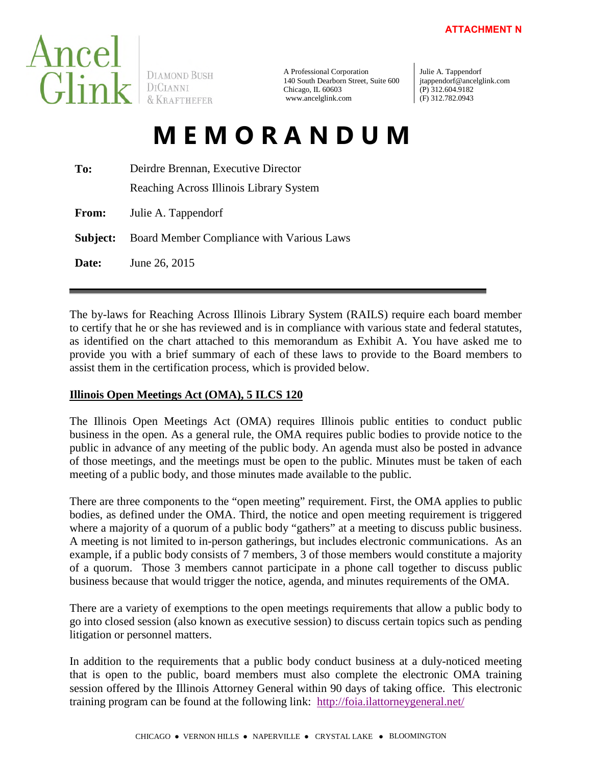

**DIAMOND BUSH** 

A Professional Corporation 140 South Dearborn Street, Suite 600 Chicago, IL 60603 www.ancelglink.com

Julie A. Tappendorf jtappendorf@ancelglink.com (P) 312.604.9182 (F) 312.782.0943

# **M E M O R A N D U M**

| To:          | Deirdre Brennan, Executive Director       |  |  |
|--------------|-------------------------------------------|--|--|
|              | Reaching Across Illinois Library System   |  |  |
| <b>From:</b> | Julie A. Tappendorf                       |  |  |
| Subject:     | Board Member Compliance with Various Laws |  |  |
| Date:        | June 26, 2015                             |  |  |

The by-laws for Reaching Across Illinois Library System (RAILS) require each board member to certify that he or she has reviewed and is in compliance with various state and federal statutes, as identified on the chart attached to this memorandum as Exhibit A. You have asked me to provide you with a brief summary of each of these laws to provide to the Board members to assist them in the certification process, which is provided below.

# **Illinois Open Meetings Act (OMA), 5 ILCS 120**

The Illinois Open Meetings Act (OMA) requires Illinois public entities to conduct public business in the open. As a general rule, the OMA requires public bodies to provide notice to the public in advance of any meeting of the public body. An agenda must also be posted in advance of those meetings, and the meetings must be open to the public. Minutes must be taken of each meeting of a public body, and those minutes made available to the public.

There are three components to the "open meeting" requirement. First, the OMA applies to public bodies, as defined under the OMA. Third, the notice and open meeting requirement is triggered where a majority of a quorum of a public body "gathers" at a meeting to discuss public business. A meeting is not limited to in-person gatherings, but includes electronic communications. As an example, if a public body consists of 7 members, 3 of those members would constitute a majority of a quorum. Those 3 members cannot participate in a phone call together to discuss public business because that would trigger the notice, agenda, and minutes requirements of the OMA.

There are a variety of exemptions to the open meetings requirements that allow a public body to go into closed session (also known as executive session) to discuss certain topics such as pending litigation or personnel matters.

In addition to the requirements that a public body conduct business at a duly-noticed meeting that is open to the public, board members must also complete the electronic OMA training session offered by the Illinois Attorney General within 90 days of taking office. This electronic training program can be found at the following link: <http://foia.ilattorneygeneral.net/>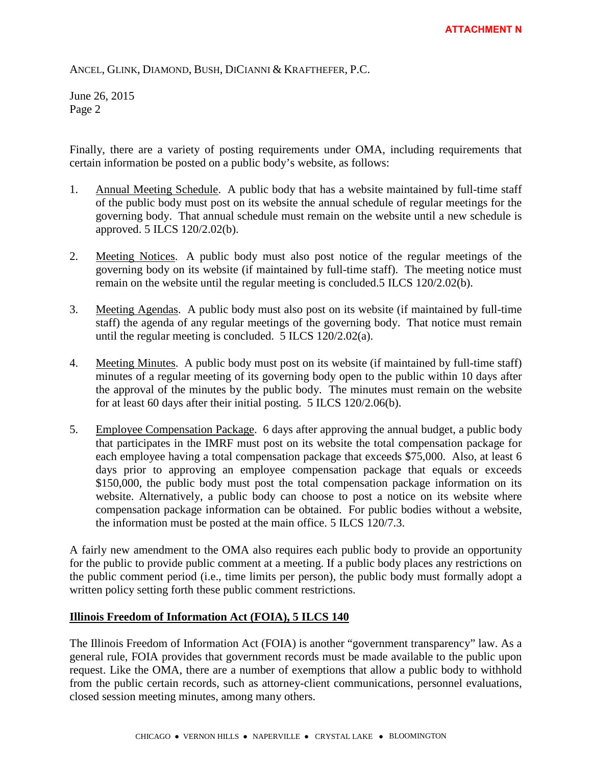June 26, 2015 Page 2

Finally, there are a variety of posting requirements under OMA, including requirements that certain information be posted on a public body's website, as follows:

- 1. Annual Meeting Schedule. A public body that has a website maintained by full-time staff of the public body must post on its website the annual schedule of regular meetings for the governing body. That annual schedule must remain on the website until a new schedule is approved. 5 ILCS 120/2.02(b).
- 2. Meeting Notices. A public body must also post notice of the regular meetings of the governing body on its website (if maintained by full-time staff). The meeting notice must remain on the website until the regular meeting is concluded.5 ILCS 120/2.02(b).
- 3. Meeting Agendas. A public body must also post on its website (if maintained by full-time staff) the agenda of any regular meetings of the governing body. That notice must remain until the regular meeting is concluded. 5 ILCS 120/2.02(a).
- 4. Meeting Minutes. A public body must post on its website (if maintained by full-time staff) minutes of a regular meeting of its governing body open to the public within 10 days after the approval of the minutes by the public body. The minutes must remain on the website for at least 60 days after their initial posting. 5 ILCS 120/2.06(b).
- 5. Employee Compensation Package. 6 days after approving the annual budget, a public body that participates in the IMRF must post on its website the total compensation package for each employee having a total compensation package that exceeds \$75,000. Also, at least 6 days prior to approving an employee compensation package that equals or exceeds \$150,000, the public body must post the total compensation package information on its website. Alternatively, a public body can choose to post a notice on its website where compensation package information can be obtained. For public bodies without a website, the information must be posted at the main office. 5 ILCS 120/7.3.

A fairly new amendment to the OMA also requires each public body to provide an opportunity for the public to provide public comment at a meeting. If a public body places any restrictions on the public comment period (i.e., time limits per person), the public body must formally adopt a written policy setting forth these public comment restrictions.

## **Illinois Freedom of Information Act (FOIA), 5 ILCS 140**

The Illinois Freedom of Information Act (FOIA) is another "government transparency" law. As a general rule, FOIA provides that government records must be made available to the public upon request. Like the OMA, there are a number of exemptions that allow a public body to withhold from the public certain records, such as attorney-client communications, personnel evaluations, closed session meeting minutes, among many others.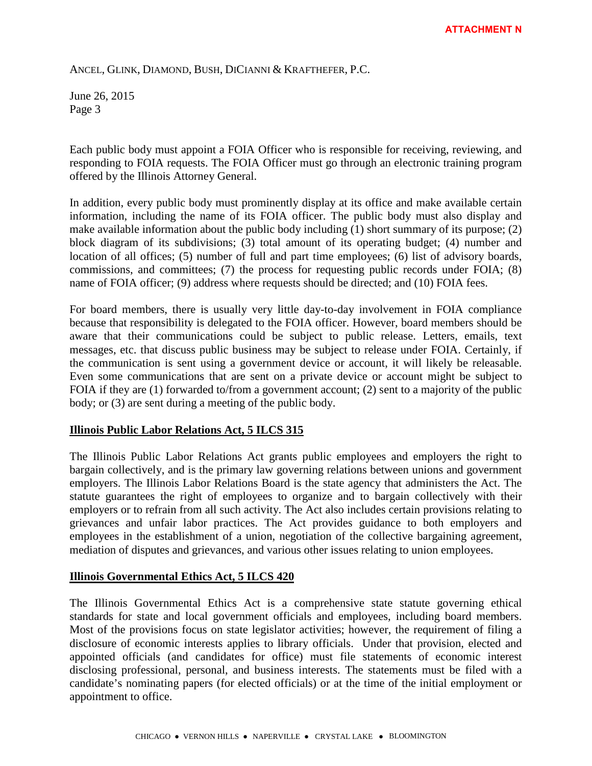June 26, 2015 Page 3

Each public body must appoint a FOIA Officer who is responsible for receiving, reviewing, and responding to FOIA requests. The FOIA Officer must go through an electronic training program offered by the Illinois Attorney General.

In addition, every public body must prominently display at its office and make available certain information, including the name of its FOIA officer. The public body must also display and make available information about the public body including (1) short summary of its purpose; (2) block diagram of its subdivisions; (3) total amount of its operating budget; (4) number and location of all offices; (5) number of full and part time employees; (6) list of advisory boards, commissions, and committees; (7) the process for requesting public records under FOIA; (8) name of FOIA officer; (9) address where requests should be directed; and (10) FOIA fees.

For board members, there is usually very little day-to-day involvement in FOIA compliance because that responsibility is delegated to the FOIA officer. However, board members should be aware that their communications could be subject to public release. Letters, emails, text messages, etc. that discuss public business may be subject to release under FOIA. Certainly, if the communication is sent using a government device or account, it will likely be releasable. Even some communications that are sent on a private device or account might be subject to FOIA if they are (1) forwarded to/from a government account; (2) sent to a majority of the public body; or (3) are sent during a meeting of the public body.

#### **Illinois Public Labor Relations Act, 5 ILCS 315**

The Illinois Public Labor Relations Act grants public employees and employers the right to bargain collectively, and is the primary law governing relations between unions and government employers. The Illinois Labor Relations Board is the state agency that administers the Act. The statute guarantees the right of employees to organize and to bargain collectively with their employers or to refrain from all such activity. The Act also includes certain provisions relating to grievances and unfair labor practices. The Act provides guidance to both employers and employees in the establishment of a union, negotiation of the collective bargaining agreement, mediation of disputes and grievances, and various other issues relating to union employees.

## **Illinois Governmental Ethics Act, 5 ILCS 420**

The Illinois Governmental Ethics Act is a comprehensive state statute governing ethical standards for state and local government officials and employees, including board members. Most of the provisions focus on state legislator activities; however, the requirement of filing a disclosure of economic interests applies to library officials. Under that provision, elected and appointed officials (and candidates for office) must file statements of economic interest disclosing professional, personal, and business interests. The statements must be filed with a candidate's nominating papers (for elected officials) or at the time of the initial employment or appointment to office.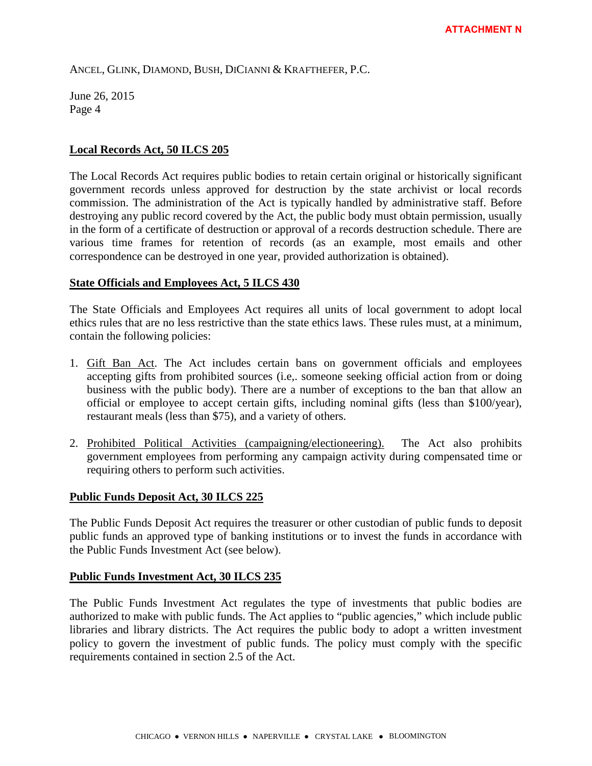June 26, 2015 Page 4

#### **Local Records Act, 50 ILCS 205**

The Local Records Act requires public bodies to retain certain original or historically significant government records unless approved for destruction by the state archivist or local records commission. The administration of the Act is typically handled by administrative staff. Before destroying any public record covered by the Act, the public body must obtain permission, usually in the form of a certificate of destruction or approval of a records destruction schedule. There are various time frames for retention of records (as an example, most emails and other correspondence can be destroyed in one year, provided authorization is obtained).

#### **State Officials and Employees Act, 5 ILCS 430**

The State Officials and Employees Act requires all units of local government to adopt local ethics rules that are no less restrictive than the state ethics laws. These rules must, at a minimum, contain the following policies:

- 1. Gift Ban Act. The Act includes certain bans on government officials and employees accepting gifts from prohibited sources (i.e,. someone seeking official action from or doing business with the public body). There are a number of exceptions to the ban that allow an official or employee to accept certain gifts, including nominal gifts (less than \$100/year), restaurant meals (less than \$75), and a variety of others.
- 2. Prohibited Political Activities (campaigning/electioneering). The Act also prohibits government employees from performing any campaign activity during compensated time or requiring others to perform such activities.

## **Public Funds Deposit Act, 30 ILCS 225**

The Public Funds Deposit Act requires the treasurer or other custodian of public funds to deposit public funds an approved type of banking institutions or to invest the funds in accordance with the Public Funds Investment Act (see below).

#### **Public Funds Investment Act, 30 ILCS 235**

The Public Funds Investment Act regulates the type of investments that public bodies are authorized to make with public funds. The Act applies to "public agencies," which include public libraries and library districts. The Act requires the public body to adopt a written investment policy to govern the investment of public funds. The policy must comply with the specific requirements contained in section 2.5 of the Act.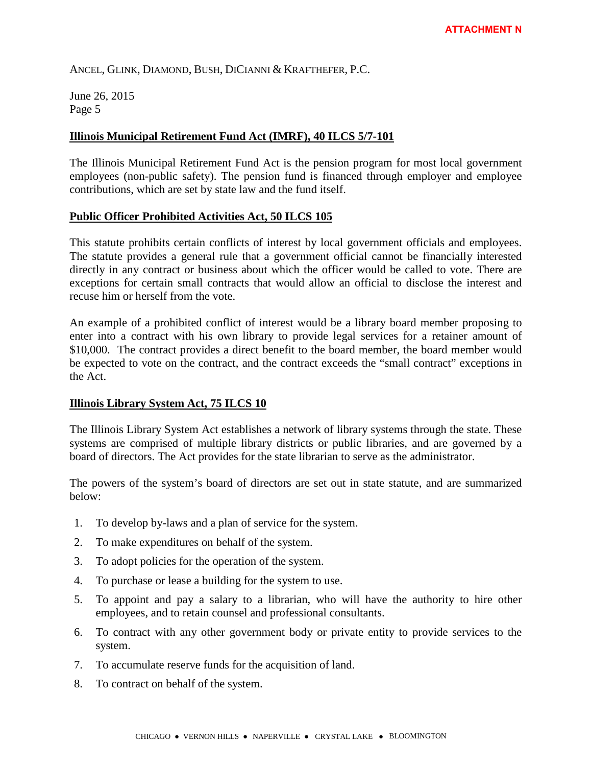June 26, 2015 Page 5

#### **Illinois Municipal Retirement Fund Act (IMRF), 40 ILCS 5/7-101**

The Illinois Municipal Retirement Fund Act is the pension program for most local government employees (non-public safety). The pension fund is financed through employer and employee contributions, which are set by state law and the fund itself.

#### **Public Officer Prohibited Activities Act, 50 ILCS 105**

This statute prohibits certain conflicts of interest by local government officials and employees. The statute provides a general rule that a government official cannot be financially interested directly in any contract or business about which the officer would be called to vote. There are exceptions for certain small contracts that would allow an official to disclose the interest and recuse him or herself from the vote.

An example of a prohibited conflict of interest would be a library board member proposing to enter into a contract with his own library to provide legal services for a retainer amount of \$10,000. The contract provides a direct benefit to the board member, the board member would be expected to vote on the contract, and the contract exceeds the "small contract" exceptions in the Act.

#### **Illinois Library System Act, 75 ILCS 10**

The Illinois Library System Act establishes a network of library systems through the state. These systems are comprised of multiple library districts or public libraries, and are governed by a board of directors. The Act provides for the state librarian to serve as the administrator.

The powers of the system's board of directors are set out in state statute, and are summarized below:

- 1. To develop by-laws and a plan of service for the system.
- 2. To make expenditures on behalf of the system.
- 3. To adopt policies for the operation of the system.
- 4. To purchase or lease a building for the system to use.
- 5. To appoint and pay a salary to a librarian, who will have the authority to hire other employees, and to retain counsel and professional consultants.
- 6. To contract with any other government body or private entity to provide services to the system.
- 7. To accumulate reserve funds for the acquisition of land.
- 8. To contract on behalf of the system.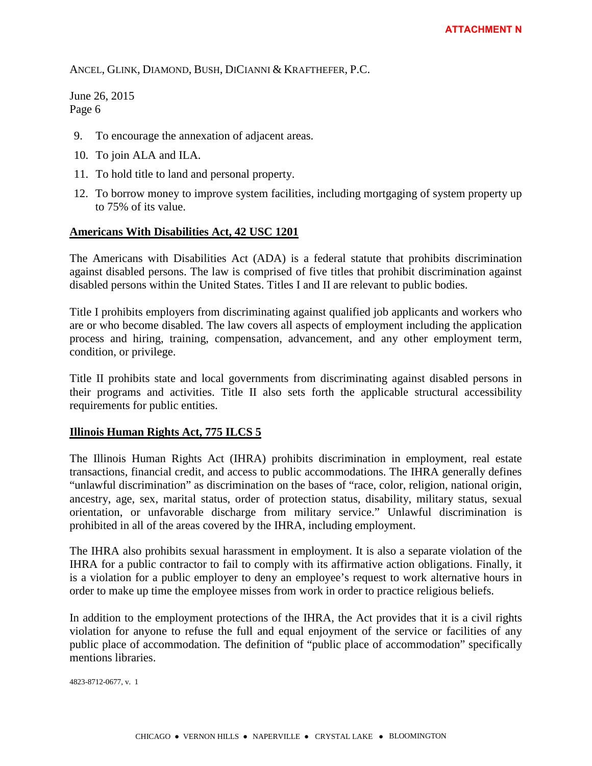June 26, 2015 Page 6

- 9. To encourage the annexation of adjacent areas.
- 10. To join ALA and ILA.
- 11. To hold title to land and personal property.
- 12. To borrow money to improve system facilities, including mortgaging of system property up to 75% of its value.

#### **Americans With Disabilities Act, 42 USC 1201**

The Americans with Disabilities Act (ADA) is a federal statute that prohibits discrimination against disabled persons. The law is comprised of five titles that prohibit discrimination against disabled persons within the United States. Titles I and II are relevant to public bodies.

Title I prohibits employers from discriminating against qualified job applicants and workers who are or who become disabled. The law covers all aspects of employment including the application process and hiring, training, compensation, advancement, and any other employment term, condition, or privilege.

Title II prohibits state and local governments from discriminating against disabled persons in their programs and activities. Title II also sets forth the applicable structural accessibility requirements for public entities.

#### **Illinois Human Rights Act, 775 ILCS 5**

The Illinois Human Rights Act (IHRA) prohibits discrimination in employment, real estate transactions, financial credit, and access to public accommodations. The IHRA generally defines "unlawful discrimination" as discrimination on the bases of "race, color, religion, national origin, ancestry, age, sex, marital status, order of protection status, disability, military status, sexual orientation, or unfavorable discharge from military service." Unlawful discrimination is prohibited in all of the areas covered by the IHRA, including employment.

The IHRA also prohibits sexual harassment in employment. It is also a separate violation of the IHRA for a public contractor to fail to comply with its affirmative action obligations. Finally, it is a violation for a public employer to deny an employee's request to work alternative hours in order to make up time the employee misses from work in order to practice religious beliefs.

In addition to the employment protections of the IHRA, the Act provides that it is a civil rights violation for anyone to refuse the full and equal enjoyment of the service or facilities of any public place of accommodation. The definition of "public place of accommodation" specifically mentions libraries.

4823-8712-0677, v. 1